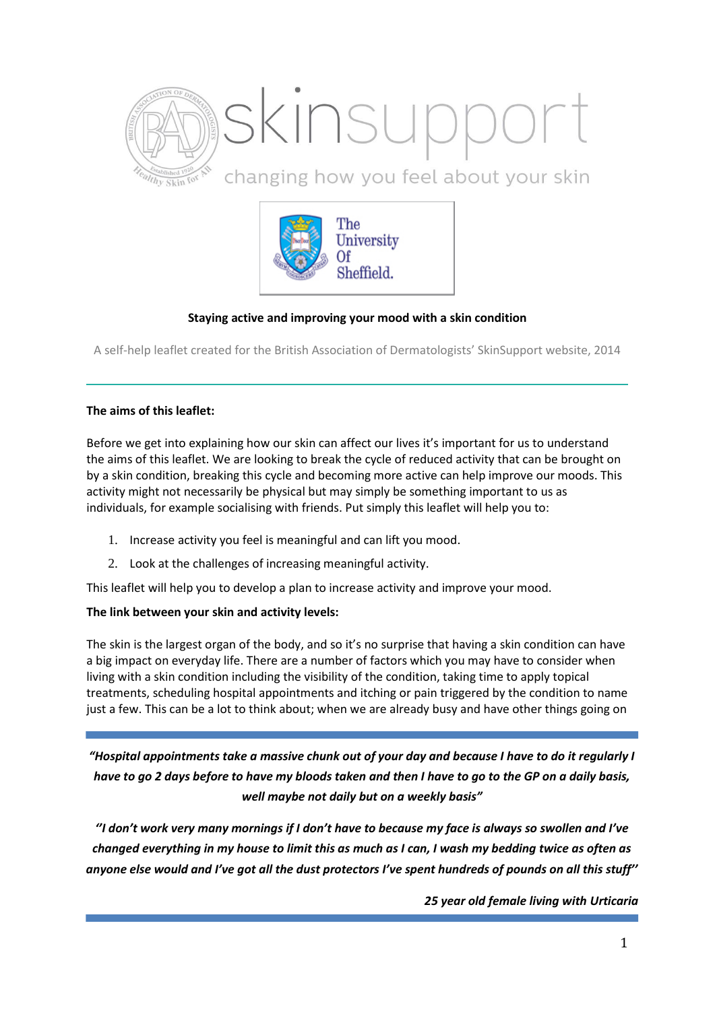



# **Staying active and improving your mood with a skin condition**

A self-help leaflet created for the British Association of Dermatologists' SkinSupport website, 2014

### **The aims of this leaflet:**

Before we get into explaining how our skin can affect our lives it's important for us to understand the aims of this leaflet. We are looking to break the cycle of reduced activity that can be brought on by a skin condition, breaking this cycle and becoming more active can help improve our moods. This activity might not necessarily be physical but may simply be something important to us as individuals, for example socialising with friends. Put simply this leaflet will help you to:

- 1. Increase activity you feel is meaningful and can lift you mood.
- 2. Look at the challenges of increasing meaningful activity.

This leaflet will help you to develop a plan to increase activity and improve your mood.

### **The link between your skin and activity levels:**

The skin is the largest organ of the body, and so it's no surprise that having a skin condition can have a big impact on everyday life. There are a number of factors which you may have to consider when living with a skin condition including the visibility of the condition, taking time to apply topical treatments, scheduling hospital appointments and itching or pain triggered by the condition to name just a few. This can be a lot to think about; when we are already busy and have other things going on

*"Hospital appointments take a massive chunk out of your day and because I have to do it regularly I have to go 2 days before to have my bloods taken and then I have to go to the GP on a daily basis, well maybe not daily but on a weekly basis"*

*''I don't work very many mornings if I don't have to because my face is always so swollen and I've changed everything in my house to limit this as much as I can, I wash my bedding twice as often as anyone else would and I've got all the dust protectors I've spent hundreds of pounds on all this stuff''*

*25 year old female living with Urticaria*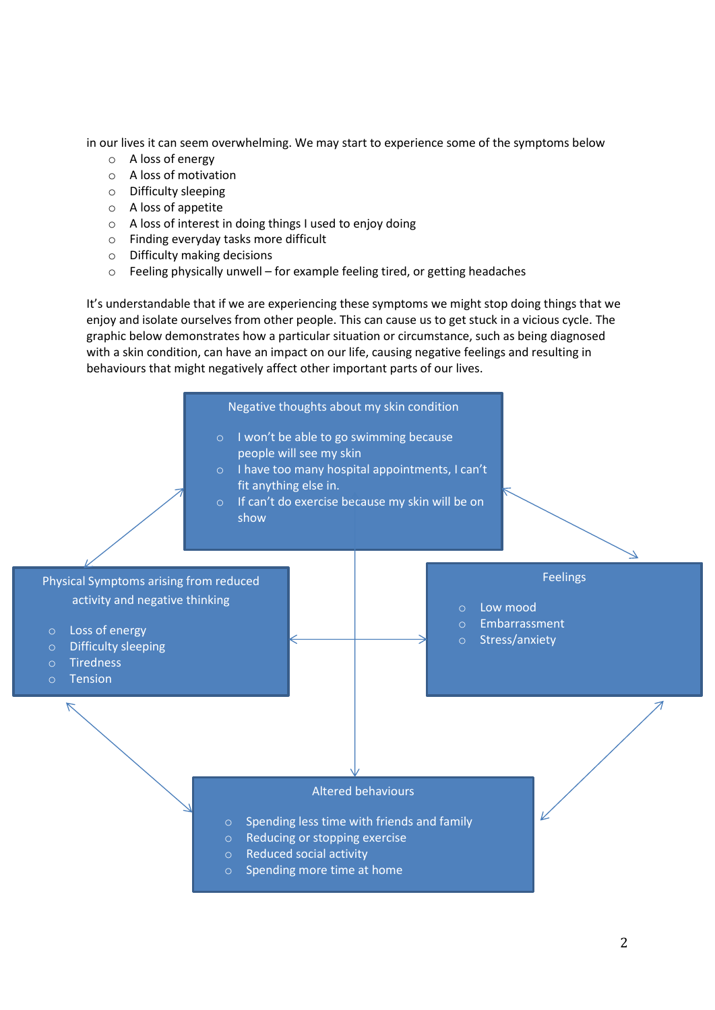in our lives it can seem overwhelming. We may start to experience some of the symptoms below

- o A loss of energy
- o A loss of motivation
- o Difficulty sleeping
- o A loss of appetite
- o A loss of interest in doing things I used to enjoy doing
- o Finding everyday tasks more difficult
- o Difficulty making decisions
- o Feeling physically unwell for example feeling tired, or getting headaches

It's understandable that if we are experiencing these symptoms we might stop doing things that we enjoy and isolate ourselves from other people. This can cause us to get stuck in a vicious cycle. The graphic below demonstrates how a particular situation or circumstance, such as being diagnosed with a skin condition, can have an impact on our life, causing negative feelings and resulting in behaviours that might negatively affect other important parts of our lives.

#### Negative thoughts about my skin condition

- o I won't be able to go swimming because people will see my skin
- o I have too many hospital appointments, I can't fit anything else in.
- o If can't do exercise because my skin will be on show

Physical Symptoms arising from reduced activity and negative thinking

- o Loss of energy
- o Difficulty sleeping
- o Tiredness
- o Tension

 $\overline{\triangledown}$ 

#### **Feelings**

- o Low mood
- o Embarrassment
- o Stress/anxiety

#### Altered behaviours

- o Spending less time with friends and family
- o Reducing or stopping exercise
- o Reduced social activity
- o Spending more time at home

Ź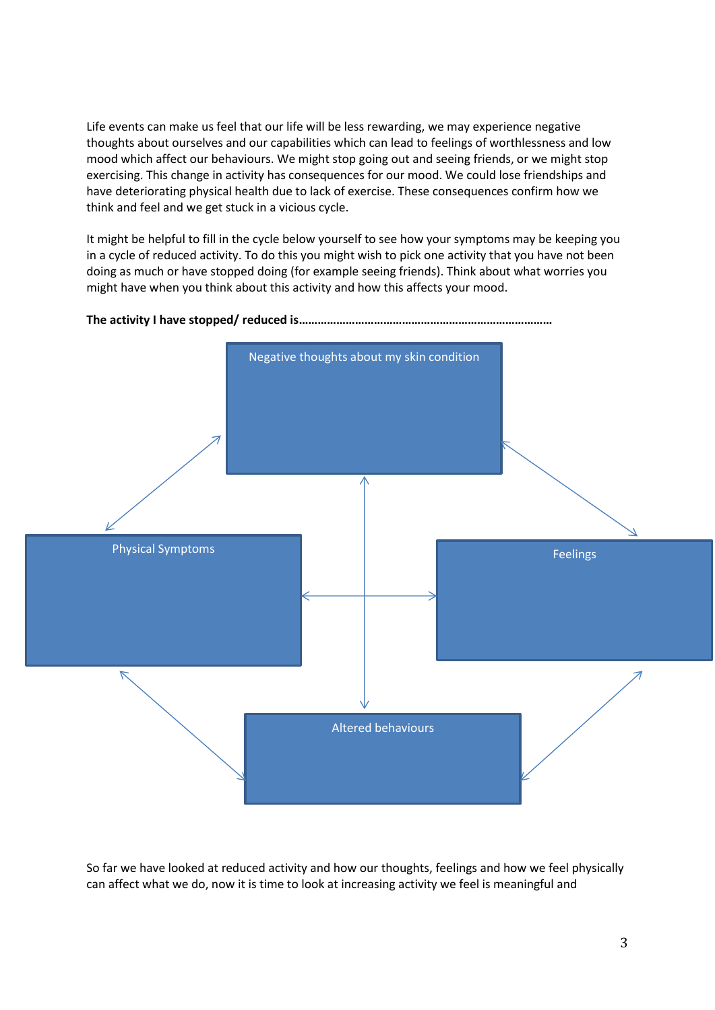Life events can make us feel that our life will be less rewarding, we may experience negative thoughts about ourselves and our capabilities which can lead to feelings of worthlessness and low mood which affect our behaviours. We might stop going out and seeing friends, or we might stop exercising. This change in activity has consequences for our mood. We could lose friendships and have deteriorating physical health due to lack of exercise. These consequences confirm how we think and feel and we get stuck in a vicious cycle.

It might be helpful to fill in the cycle below yourself to see how your symptoms may be keeping you in a cycle of reduced activity. To do this you might wish to pick one activity that you have not been doing as much or have stopped doing (for example seeing friends). Think about what worries you might have when you think about this activity and how this affects your mood.





So far we have looked at reduced activity and how our thoughts, feelings and how we feel physically can affect what we do, now it is time to look at increasing activity we feel is meaningful and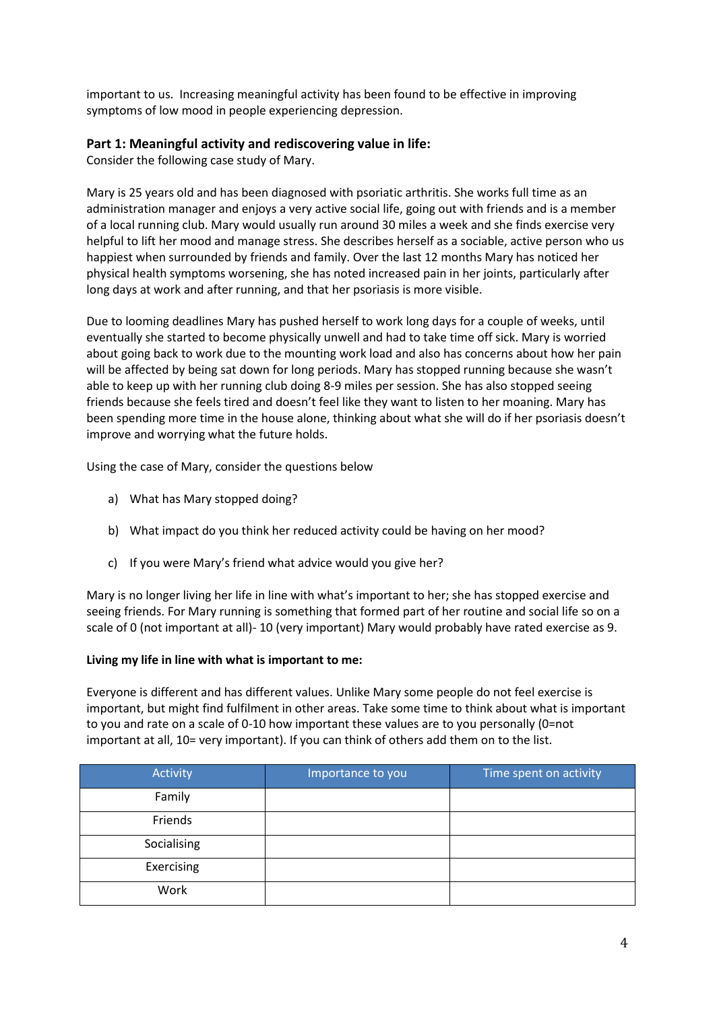important to us. Increasing meaningful activity has been found to be effective in improving symptoms of low mood in people experiencing depression.

# **Part 1: Meaningful activity and rediscovering value in life:**

Consider the following case study of Mary.

Mary is 25 years old and has been diagnosed with psoriatic arthritis. She works full time as an administration manager and enjoys a very active social life, going out with friends and is a member of a local running club. Mary would usually run around 30 miles a week and she finds exercise very helpful to lift her mood and manage stress. She describes herself as a sociable, active person who us happiest when surrounded by friends and family. Over the last 12 months Mary has noticed her physical health symptoms worsening, she has noted increased pain in her joints, particularly after long days at work and after running, and that her psoriasis is more visible.

Due to looming deadlines Mary has pushed herself to work long days for a couple of weeks, until eventually she started to become physically unwell and had to take time off sick. Mary is worried about going back to work due to the mounting work load and also has concerns about how her pain will be affected by being sat down for long periods. Mary has stopped running because she wasn't able to keep up with her running club doing 8-9 miles per session. She has also stopped seeing friends because she feels tired and doesn't feel like they want to listen to her moaning. Mary has been spending more time in the house alone, thinking about what she will do if her psoriasis doesn't improve and worrying what the future holds.

Using the case of Mary, consider the questions below

- a) What has Mary stopped doing?
- b) What impact do you think her reduced activity could be having on her mood?
- c) If you were Mary's friend what advice would you give her?

Mary is no longer living her life in line with what's important to her; she has stopped exercise and seeing friends. For Mary running is something that formed part of her routine and social life so on a scale of 0 (not important at all)- 10 (very important) Mary would probably have rated exercise as 9.

### **Living my life in line with what is important to me:**

Everyone is different and has different values. Unlike Mary some people do not feel exercise is important, but might find fulfilment in other areas. Take some time to think about what is important to you and rate on a scale of 0-10 how important these values are to you personally (0=not important at all, 10= very important). If you can think of others add them on to the list.

| Activity    | Importance to you | Time spent on activity |  |
|-------------|-------------------|------------------------|--|
| Family      |                   |                        |  |
| Friends     |                   |                        |  |
| Socialising |                   |                        |  |
| Exercising  |                   |                        |  |
| Work        |                   |                        |  |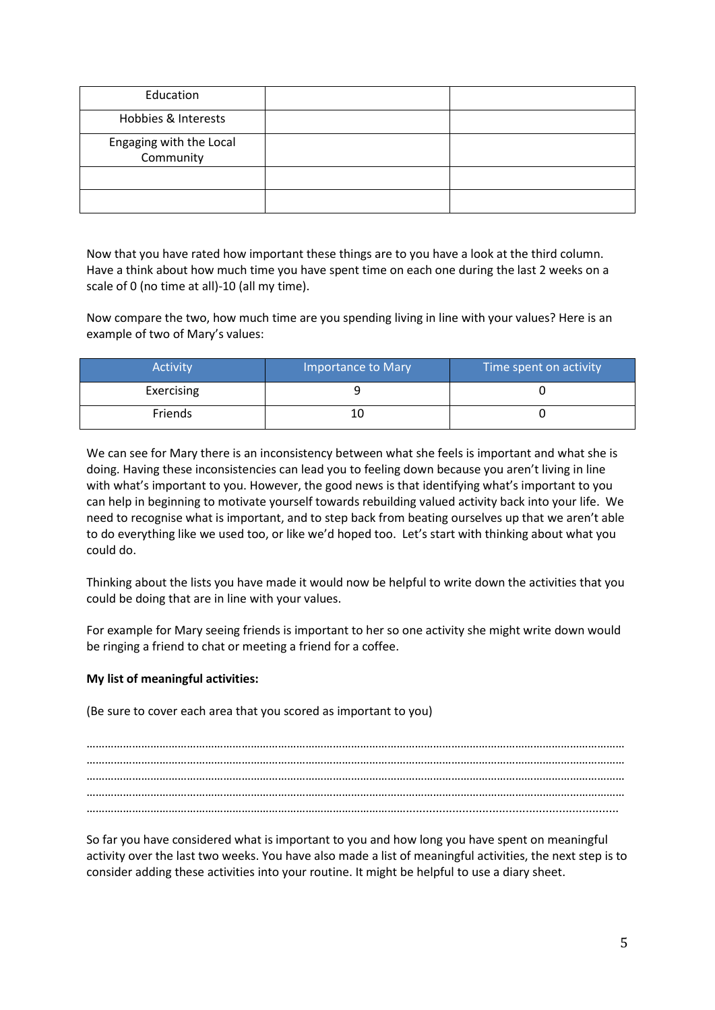| Education                            |  |
|--------------------------------------|--|
| Hobbies & Interests                  |  |
| Engaging with the Local<br>Community |  |
|                                      |  |
|                                      |  |

Now that you have rated how important these things are to you have a look at the third column. Have a think about how much time you have spent time on each one during the last 2 weeks on a scale of 0 (no time at all)-10 (all my time).

Now compare the two, how much time are you spending living in line with your values? Here is an example of two of Mary's values:

| <b>Activity</b> | <b>Importance to Mary</b> | Time spent on activity |
|-----------------|---------------------------|------------------------|
| Exercising      |                           |                        |
| Friends         |                           |                        |

We can see for Mary there is an inconsistency between what she feels is important and what she is doing. Having these inconsistencies can lead you to feeling down because you aren't living in line with what's important to you. However, the good news is that identifying what's important to you can help in beginning to motivate yourself towards rebuilding valued activity back into your life. We need to recognise what is important, and to step back from beating ourselves up that we aren't able to do everything like we used too, or like we'd hoped too. Let's start with thinking about what you could do.

Thinking about the lists you have made it would now be helpful to write down the activities that you could be doing that are in line with your values.

For example for Mary seeing friends is important to her so one activity she might write down would be ringing a friend to chat or meeting a friend for a coffee.

# **My list of meaningful activities:**

(Be sure to cover each area that you scored as important to you)

…………………………………………………………………………………………………………………………………………………………… …………………………………………………………………………………………………………………………………………………………… …………………………………………………………………………………………………………………………………………………………… …………………………………………………………………………………………………………………………………………………………… ……………………………………………………………………………………………................................................................

So far you have considered what is important to you and how long you have spent on meaningful activity over the last two weeks. You have also made a list of meaningful activities, the next step is to consider adding these activities into your routine. It might be helpful to use a diary sheet.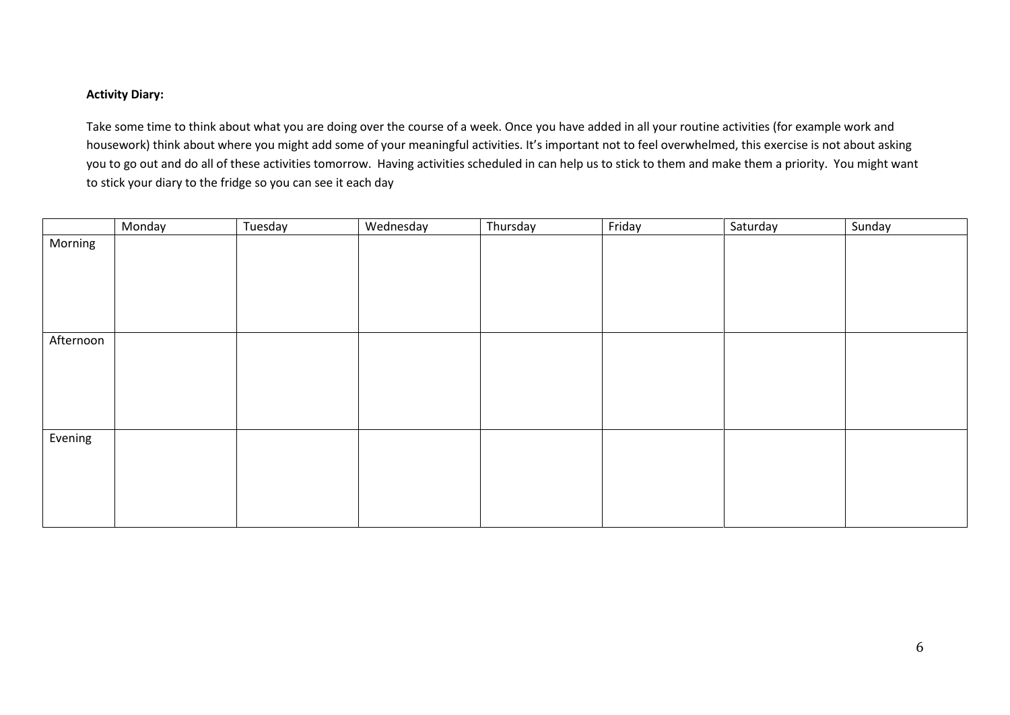## **Activity Diary:**

Take some time to think about what you are doing over the course of a week. Once you have added in all your routine activities (for example work and housework) think about where you might add some of your meaningful activities. It's important not to feel overwhelmed, this exercise is not about asking you to go out and do all of these activities tomorrow. Having activities scheduled in can help us to stick to them and make them a priority. You might want to stick your diary to the fridge so you can see it each day

|           | Monday | Tuesday | Wednesday | Thursday | Friday | Saturday | Sunday |
|-----------|--------|---------|-----------|----------|--------|----------|--------|
| Morning   |        |         |           |          |        |          |        |
|           |        |         |           |          |        |          |        |
|           |        |         |           |          |        |          |        |
|           |        |         |           |          |        |          |        |
|           |        |         |           |          |        |          |        |
|           |        |         |           |          |        |          |        |
| Afternoon |        |         |           |          |        |          |        |
|           |        |         |           |          |        |          |        |
|           |        |         |           |          |        |          |        |
|           |        |         |           |          |        |          |        |
|           |        |         |           |          |        |          |        |
|           |        |         |           |          |        |          |        |
| Evening   |        |         |           |          |        |          |        |
|           |        |         |           |          |        |          |        |
|           |        |         |           |          |        |          |        |
|           |        |         |           |          |        |          |        |
|           |        |         |           |          |        |          |        |
|           |        |         |           |          |        |          |        |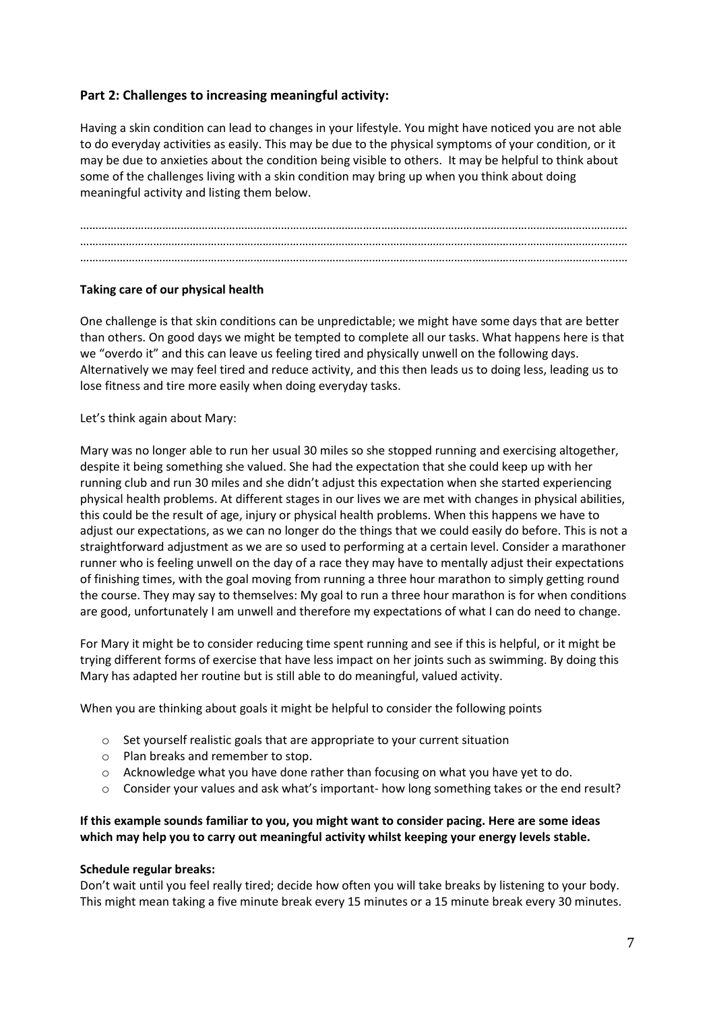# **Part 2: Challenges to increasing meaningful activity:**

Having a skin condition can lead to changes in your lifestyle. You might have noticed you are not able to do everyday activities as easily. This may be due to the physical symptoms of your condition, or it may be due to anxieties about the condition being visible to others. It may be helpful to think about some of the challenges living with a skin condition may bring up when you think about doing meaningful activity and listing them below.

……………………………………………………………………………………………………………………………………………………………… ……………………………………………………………………………………………………………………………………………………………… ………………………………………………………………………………………………………………………………………………………………

# **Taking care of our physical health**

One challenge is that skin conditions can be unpredictable; we might have some days that are better than others. On good days we might be tempted to complete all our tasks. What happens here is that we "overdo it" and this can leave us feeling tired and physically unwell on the following days. Alternatively we may feel tired and reduce activity, and this then leads us to doing less, leading us to lose fitness and tire more easily when doing everyday tasks.

Let's think again about Mary:

Mary was no longer able to run her usual 30 miles so she stopped running and exercising altogether, despite it being something she valued. She had the expectation that she could keep up with her running club and run 30 miles and she didn't adjust this expectation when she started experiencing physical health problems. At different stages in our lives we are met with changes in physical abilities, this could be the result of age, injury or physical health problems. When this happens we have to adjust our expectations, as we can no longer do the things that we could easily do before. This is not a straightforward adjustment as we are so used to performing at a certain level. Consider a marathoner runner who is feeling unwell on the day of a race they may have to mentally adjust their expectations of finishing times, with the goal moving from running a three hour marathon to simply getting round the course. They may say to themselves: My goal to run a three hour marathon is for when conditions are good, unfortunately I am unwell and therefore my expectations of what I can do need to change.

For Mary it might be to consider reducing time spent running and see if this is helpful, or it might be trying different forms of exercise that have less impact on her joints such as swimming. By doing this Mary has adapted her routine but is still able to do meaningful, valued activity.

When you are thinking about goals it might be helpful to consider the following points

- o Set yourself realistic goals that are appropriate to your current situation
- o Plan breaks and remember to stop.
- $\circ$  Acknowledge what you have done rather than focusing on what you have yet to do.
- o Consider your values and ask what's important- how long something takes or the end result?

### **If this example sounds familiar to you, you might want to consider pacing. Here are some ideas which may help you to carry out meaningful activity whilst keeping your energy levels stable.**

### **Schedule regular breaks:**

Don't wait until you feel really tired; decide how often you will take breaks by listening to your body. This might mean taking a five minute break every 15 minutes or a 15 minute break every 30 minutes.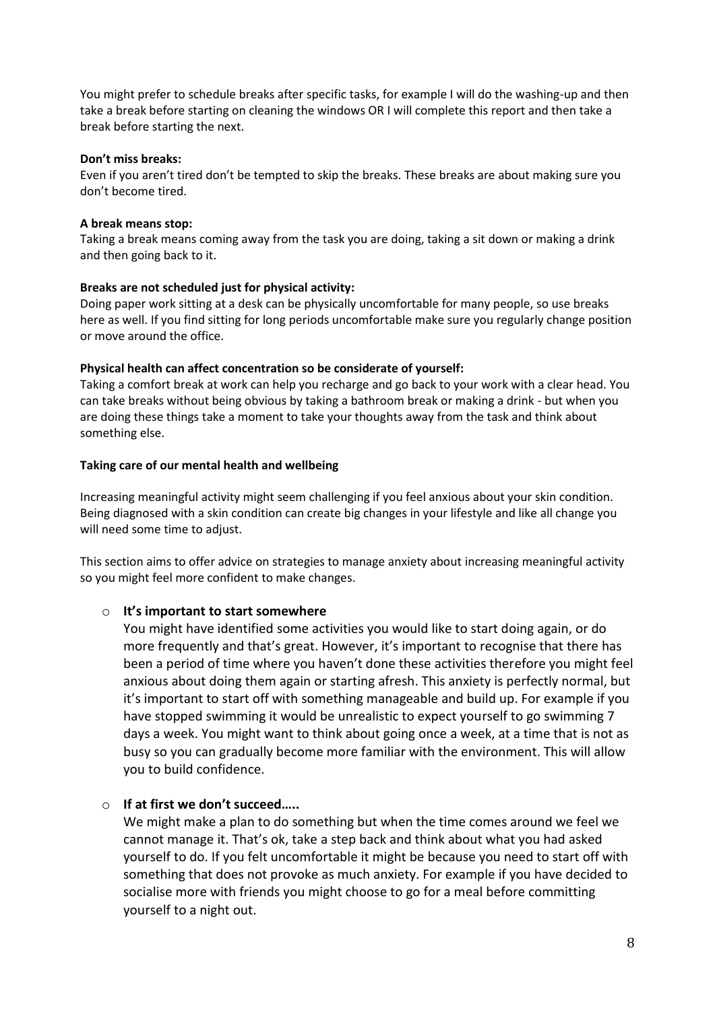You might prefer to schedule breaks after specific tasks, for example I will do the washing-up and then take a break before starting on cleaning the windows OR I will complete this report and then take a break before starting the next.

### **Don't miss breaks:**

Even if you aren't tired don't be tempted to skip the breaks. These breaks are about making sure you don't become tired.

## **A break means stop:**

Taking a break means coming away from the task you are doing, taking a sit down or making a drink and then going back to it.

### **Breaks are not scheduled just for physical activity:**

Doing paper work sitting at a desk can be physically uncomfortable for many people, so use breaks here as well. If you find sitting for long periods uncomfortable make sure you regularly change position or move around the office.

### **Physical health can affect concentration so be considerate of yourself:**

Taking a comfort break at work can help you recharge and go back to your work with a clear head. You can take breaks without being obvious by taking a bathroom break or making a drink - but when you are doing these things take a moment to take your thoughts away from the task and think about something else.

### **Taking care of our mental health and wellbeing**

Increasing meaningful activity might seem challenging if you feel anxious about your skin condition. Being diagnosed with a skin condition can create big changes in your lifestyle and like all change you will need some time to adjust.

This section aims to offer advice on strategies to manage anxiety about increasing meaningful activity so you might feel more confident to make changes.

# o **It's important to start somewhere**

You might have identified some activities you would like to start doing again, or do more frequently and that's great. However, it's important to recognise that there has been a period of time where you haven't done these activities therefore you might feel anxious about doing them again or starting afresh. This anxiety is perfectly normal, but it's important to start off with something manageable and build up. For example if you have stopped swimming it would be unrealistic to expect yourself to go swimming 7 days a week. You might want to think about going once a week, at a time that is not as busy so you can gradually become more familiar with the environment. This will allow you to build confidence.

# o **If at first we don't succeed…..**

We might make a plan to do something but when the time comes around we feel we cannot manage it. That's ok, take a step back and think about what you had asked yourself to do. If you felt uncomfortable it might be because you need to start off with something that does not provoke as much anxiety. For example if you have decided to socialise more with friends you might choose to go for a meal before committing yourself to a night out.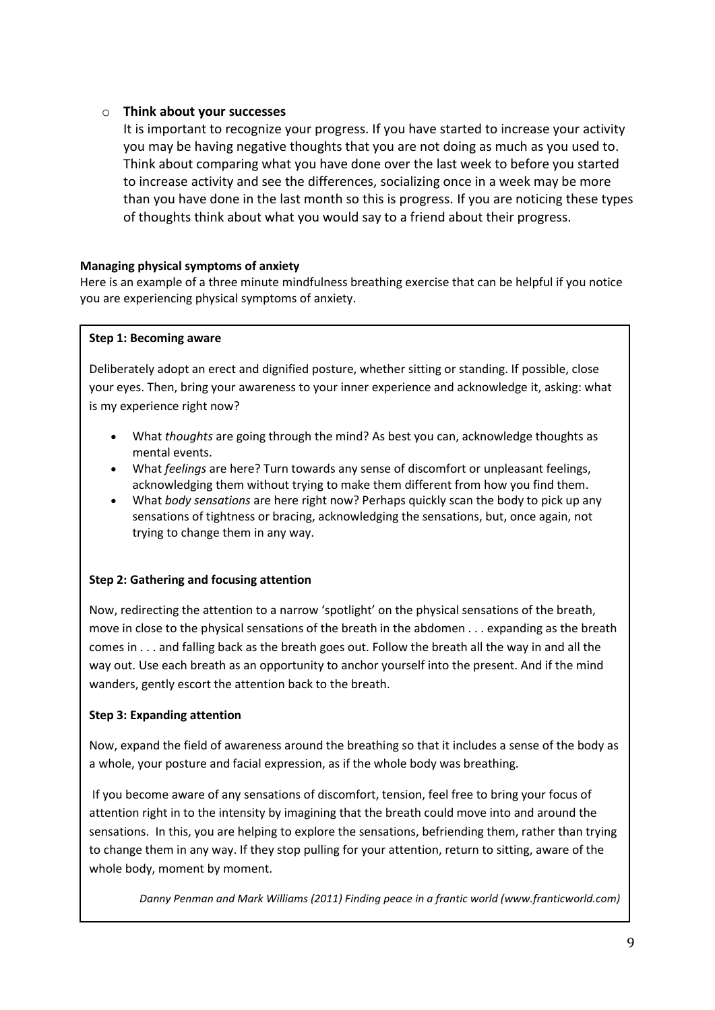# o **Think about your successes**

It is important to recognize your progress. If you have started to increase your activity you may be having negative thoughts that you are not doing as much as you used to. Think about comparing what you have done over the last week to before you started to increase activity and see the differences, socializing once in a week may be more than you have done in the last month so this is progress. If you are noticing these types of thoughts think about what you would say to a friend about their progress.

# **Managing physical symptoms of anxiety**

Here is an example of a three minute mindfulness breathing exercise that can be helpful if you notice you are experiencing physical symptoms of anxiety.

# **Step 1: Becoming aware**

Deliberately adopt an erect and dignified posture, whether sitting or standing. If possible, close your eyes. Then, bring your awareness to your inner experience and acknowledge it, asking: what is my experience right now?

- What *thoughts* are going through the mind? As best you can, acknowledge thoughts as mental events.
- What *feelings* are here? Turn towards any sense of discomfort or unpleasant feelings, acknowledging them without trying to make them different from how you find them.
- What *body sensations* are here right now? Perhaps quickly scan the body to pick up any sensations of tightness or bracing, acknowledging the sensations, but, once again, not trying to change them in any way.

# **Step 2: Gathering and focusing attention**

Now, redirecting the attention to a narrow 'spotlight' on the physical sensations of the breath, move in close to the physical sensations of the breath in the abdomen . . . expanding as the breath comes in . . . and falling back as the breath goes out. Follow the breath all the way in and all the way out. Use each breath as an opportunity to anchor yourself into the present. And if the mind wanders, gently escort the attention back to the breath.

# **Step 3: Expanding attention**

Now, expand the field of awareness around the breathing so that it includes a sense of the body as a whole, your posture and facial expression, as if the whole body was breathing.

If you become aware of any sensations of discomfort, tension, feel free to bring your focus of attention right in to the intensity by imagining that the breath could move into and around the sensations. In this, you are helping to explore the sensations, befriending them, rather than trying to change them in any way. If they stop pulling for your attention, return to sitting, aware of the whole body, moment by moment.

*Danny Penman and Mark Williams (2011) Finding peace in a frantic world (www.franticworld.com)*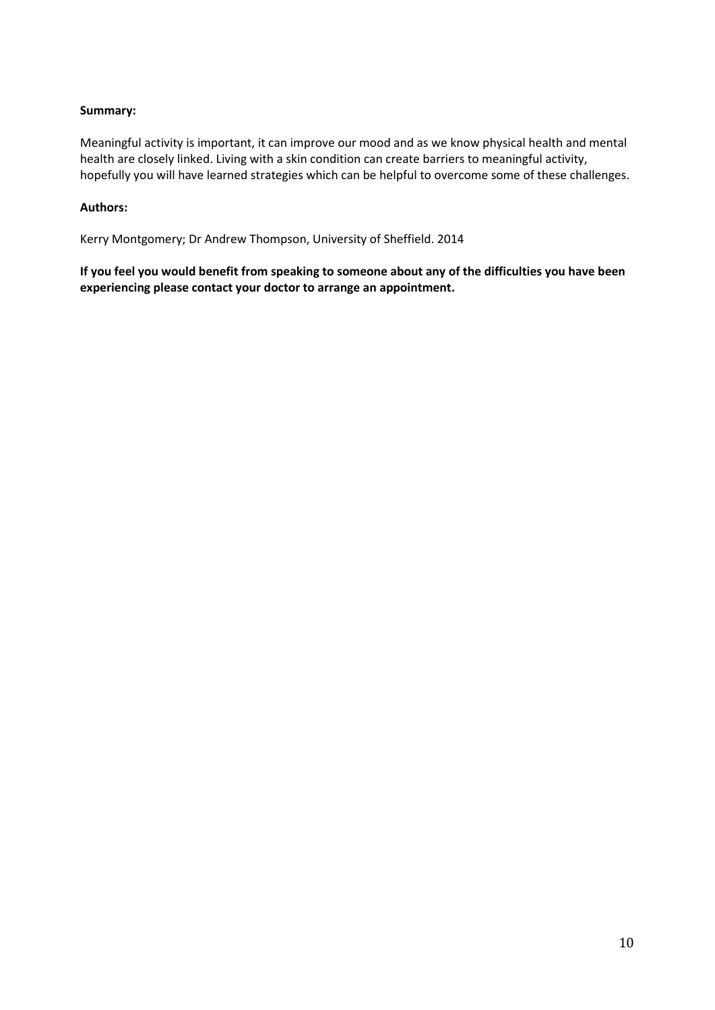## **Summary:**

Meaningful activity is important, it can improve our mood and as we know physical health and mental health are closely linked. Living with a skin condition can create barriers to meaningful activity, hopefully you will have learned strategies which can be helpful to overcome some of these challenges.

# **Authors:**

Kerry Montgomery; Dr Andrew Thompson, University of Sheffield. 2014

**If you feel you would benefit from speaking to someone about any of the difficulties you have been experiencing please contact your doctor to arrange an appointment.**